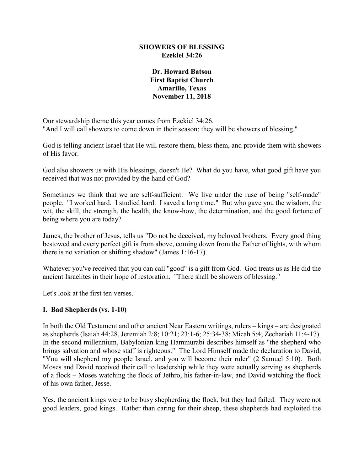#### **SHOWERS OF BLESSING Ezekiel 34:26**

### **Dr. Howard Batson First Baptist Church Amarillo, Texas November 11, 2018**

Our stewardship theme this year comes from Ezekiel 34:26. "And I will call showers to come down in their season; they will be showers of blessing."

God is telling ancient Israel that He will restore them, bless them, and provide them with showers of His favor.

God also showers us with His blessings, doesn't He? What do you have, what good gift have you received that was not provided by the hand of God?

Sometimes we think that we are self-sufficient. We live under the ruse of being "self-made" people. "I worked hard. I studied hard. I saved a long time." But who gave you the wisdom, the wit, the skill, the strength, the health, the know-how, the determination, and the good fortune of being where you are today?

James, the brother of Jesus, tells us "Do not be deceived, my beloved brothers. Every good thing bestowed and every perfect gift is from above, coming down from the Father of lights, with whom there is no variation or shifting shadow" (James 1:16-17).

Whatever you've received that you can call "good" is a gift from God. God treats us as He did the ancient Israelites in their hope of restoration. "There shall be showers of blessing."

Let's look at the first ten verses.

#### **I. Bad Shepherds (vs. 1-10)**

In both the Old Testament and other ancient Near Eastern writings, rulers – kings – are designated as shepherds (Isaiah 44:28, Jeremiah 2:8; 10:21; 23:1-6; 25:34-38; Micah 5:4; Zechariah 11:4-17). In the second millennium, Babylonian king Hammurabi describes himself as "the shepherd who brings salvation and whose staff is righteous." The Lord Himself made the declaration to David, "You will shepherd my people Israel, and you will become their ruler" (2 Samuel 5:10). Both Moses and David received their call to leadership while they were actually serving as shepherds of a flock – Moses watching the flock of Jethro, his father-in-law, and David watching the flock of his own father, Jesse.

Yes, the ancient kings were to be busy shepherding the flock, but they had failed. They were not good leaders, good kings. Rather than caring for their sheep, these shepherds had exploited the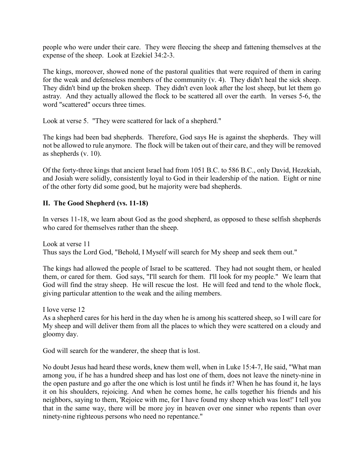people who were under their care. They were fleecing the sheep and fattening themselves at the expense of the sheep. Look at Ezekiel 34:2-3.

The kings, moreover, showed none of the pastoral qualities that were required of them in caring for the weak and defenseless members of the community (v. 4). They didn't heal the sick sheep. They didn't bind up the broken sheep. They didn't even look after the lost sheep, but let them go astray. And they actually allowed the flock to be scattered all over the earth. In verses 5-6, the word "scattered" occurs three times.

Look at verse 5. "They were scattered for lack of a shepherd."

The kings had been bad shepherds. Therefore, God says He is against the shepherds. They will not be allowed to rule anymore. The flock will be taken out of their care, and they will be removed as shepherds (v. 10).

Of the forty-three kings that ancient Israel had from 1051 B.C. to 586 B.C., only David, Hezekiah, and Josiah were solidly, consistently loyal to God in their leadership of the nation. Eight or nine of the other forty did some good, but he majority were bad shepherds.

# **II. The Good Shepherd (vs. 11-18)**

In verses 11-18, we learn about God as the good shepherd, as opposed to these selfish shepherds who cared for themselves rather than the sheep.

Look at verse 11 Thus says the Lord God, "Behold, I Myself will search for My sheep and seek them out."

The kings had allowed the people of Israel to be scattered. They had not sought them, or healed them, or cared for them. God says, "I'll search for them. I'll look for my people." We learn that God will find the stray sheep. He will rescue the lost. He will feed and tend to the whole flock, giving particular attention to the weak and the ailing members.

I love verse 12

As a shepherd cares for his herd in the day when he is among his scattered sheep, so I will care for My sheep and will deliver them from all the places to which they were scattered on a cloudy and gloomy day.

God will search for the wanderer, the sheep that is lost.

No doubt Jesus had heard these words, knew them well, when in Luke 15:4-7, He said, "What man among you, if he has a hundred sheep and has lost one of them, does not leave the ninety-nine in the open pasture and go after the one which is lost until he finds it? When he has found it, he lays it on his shoulders, rejoicing. And when he comes home, he calls together his friends and his neighbors, saying to them, 'Rejoice with me, for I have found my sheep which was lost!' I tell you that in the same way, there will be more joy in heaven over one sinner who repents than over ninety-nine righteous persons who need no repentance."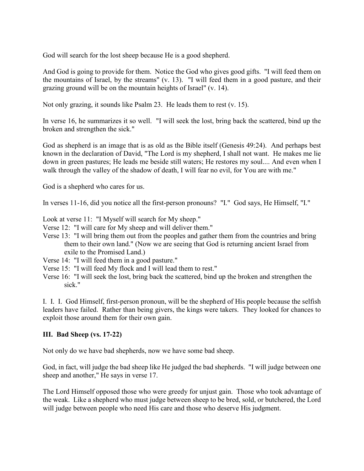God will search for the lost sheep because He is a good shepherd.

And God is going to provide for them. Notice the God who gives good gifts. "I will feed them on the mountains of Israel, by the streams" (v. 13). "I will feed them in a good pasture, and their grazing ground will be on the mountain heights of Israel" (v. 14).

Not only grazing, it sounds like Psalm 23. He leads them to rest (v. 15).

In verse 16, he summarizes it so well. "I will seek the lost, bring back the scattered, bind up the broken and strengthen the sick."

God as shepherd is an image that is as old as the Bible itself (Genesis 49:24). And perhaps best known in the declaration of David, "The Lord is my shepherd, I shall not want. He makes me lie down in green pastures; He leads me beside still waters; He restores my soul.... And even when I walk through the valley of the shadow of death, I will fear no evil, for You are with me."

God is a shepherd who cares for us.

In verses 11-16, did you notice all the first-person pronouns? "I." God says, He Himself, "I."

Look at verse 11: "I Myself will search for My sheep."

Verse 12: "I will care for My sheep and will deliver them."

- Verse 13: "I will bring them out from the peoples and gather them from the countries and bring them to their own land." (Now we are seeing that God is returning ancient Israel from exile to the Promised Land.)
- Verse 14: "I will feed them in a good pasture."
- Verse 15: "I will feed My flock and I will lead them to rest."
- Verse 16: "I will seek the lost, bring back the scattered, bind up the broken and strengthen the sick."

I. I. I. God Himself, first-person pronoun, will be the shepherd of His people because the selfish leaders have failed. Rather than being givers, the kings were takers. They looked for chances to exploit those around them for their own gain.

# **III. Bad Sheep (vs. 17-22)**

Not only do we have bad shepherds, now we have some bad sheep.

God, in fact, will judge the bad sheep like He judged the bad shepherds. "I will judge between one sheep and another," He says in verse 17.

The Lord Himself opposed those who were greedy for unjust gain. Those who took advantage of the weak. Like a shepherd who must judge between sheep to be bred, sold, or butchered, the Lord will judge between people who need His care and those who deserve His judgment.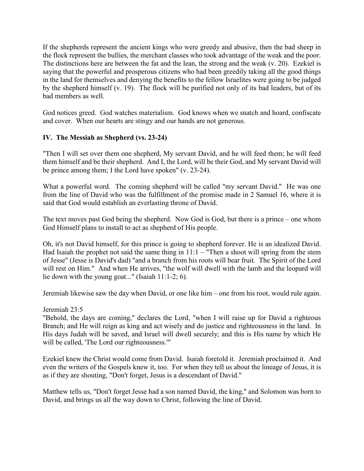If the shepherds represent the ancient kings who were greedy and abusive, then the bad sheep in the flock represent the bullies, the merchant classes who took advantage of the weak and the poor. The distinctions here are between the fat and the lean, the strong and the weak (v. 20). Ezekiel is saying that the powerful and prosperous citizens who had been greedily taking all the good things in the land for themselves and denying the benefits to the fellow Israelites were going to be judged by the shepherd himself (v. 19). The flock will be purified not only of its bad leaders, but of its bad members as well.

God notices greed. God watches materialism. God knows when we snatch and hoard, confiscate and cover. When our hearts are stingy and our hands are not generous.

# **IV. The Messiah as Shepherd (vs. 23-24)**

"Then I will set over them one shepherd, My servant David, and he will feed them; he will feed them himself and be their shepherd. And I, the Lord, will be their God, and My servant David will be prince among them; I the Lord have spoken" (v. 23-24).

What a powerful word. The coming shepherd will be called "my servant David." He was one from the line of David who was the fulfillment of the promise made in 2 Samuel 16, where it is said that God would establish an everlasting throne of David.

The text moves past God being the shepherd. Now God is God, but there is a prince – one whom God Himself plans to install to act as shepherd of His people.

Oh, it's not David himself, for this prince is going to shepherd forever. He is an idealized David. Had Isaiah the prophet not said the same thing in  $11:1 -$  "Then a shoot will spring from the stem of Jesse" (Jesse is David's dad) "and a branch from his roots will bear fruit. The Spirit of the Lord will rest on Him." And when He arrives, "the wolf will dwell with the lamb and the leopard will lie down with the young goat..." (Isaiah 11:1-2; 6).

Jeremiah likewise saw the day when David, or one like him – one from his root, would rule again.

Jeremiah 23:5

"Behold, the days are coming," declares the Lord, "when I will raise up for David a righteous Branch; and He will reign as king and act wisely and do justice and righteousness in the land. In His days Judah will be saved, and Israel will dwell securely; and this is His name by which He will be called, 'The Lord our righteousness.'"

Ezekiel knew the Christ would come from David. Isaiah foretold it. Jeremiah proclaimed it. And even the writers of the Gospels knew it, too. For when they tell us about the lineage of Jesus, it is as if they are shouting, "Don't forget, Jesus is a descendant of David."

Matthew tells us, "Don't forget Jesse had a son named David, the king," and Solomon was born to David, and brings us all the way down to Christ, following the line of David.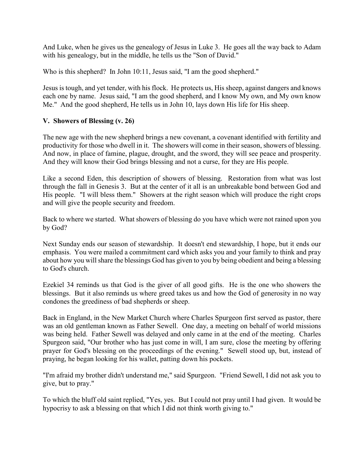And Luke, when he gives us the genealogy of Jesus in Luke 3. He goes all the way back to Adam with his genealogy, but in the middle, he tells us the "Son of David."

Who is this shepherd? In John 10:11, Jesus said, "I am the good shepherd."

Jesus is tough, and yet tender, with his flock. He protects us, His sheep, against dangers and knows each one by name. Jesus said, "I am the good shepherd, and I know My own, and My own know Me." And the good shepherd, He tells us in John 10, lays down His life for His sheep.

#### **V. Showers of Blessing (v. 26)**

The new age with the new shepherd brings a new covenant, a covenant identified with fertility and productivity for those who dwell in it. The showers will come in their season, showers of blessing. And now, in place of famine, plague, drought, and the sword, they will see peace and prosperity. And they will know their God brings blessing and not a curse, for they are His people.

Like a second Eden, this description of showers of blessing. Restoration from what was lost through the fall in Genesis 3. But at the center of it all is an unbreakable bond between God and His people. "I will bless them." Showers at the right season which will produce the right crops and will give the people security and freedom.

Back to where we started. What showers of blessing do you have which were not rained upon you by God?

Next Sunday ends our season of stewardship. It doesn't end stewardship, I hope, but it ends our emphasis. You were mailed a commitment card which asks you and your family to think and pray about how you will share the blessings God has given to you by being obedient and being a blessing to God's church.

Ezekiel 34 reminds us that God is the giver of all good gifts. He is the one who showers the blessings. But it also reminds us where greed takes us and how the God of generosity in no way condones the greediness of bad shepherds or sheep.

Back in England, in the New Market Church where Charles Spurgeon first served as pastor, there was an old gentleman known as Father Sewell. One day, a meeting on behalf of world missions was being held. Father Sewell was delayed and only came in at the end of the meeting. Charles Spurgeon said, "Our brother who has just come in will, I am sure, close the meeting by offering prayer for God's blessing on the proceedings of the evening." Sewell stood up, but, instead of praying, he began looking for his wallet, patting down his pockets.

"I'm afraid my brother didn't understand me," said Spurgeon. "Friend Sewell, I did not ask you to give, but to pray."

To which the bluff old saint replied, "Yes, yes. But I could not pray until I had given. It would be hypocrisy to ask a blessing on that which I did not think worth giving to."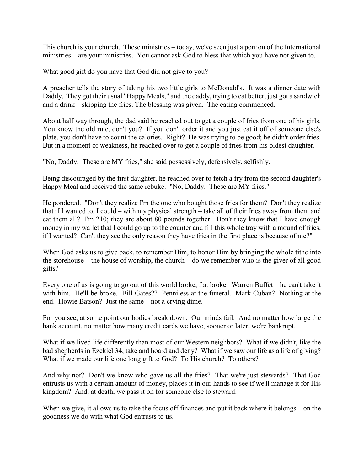This church is your church. These ministries – today, we've seen just a portion of the International ministries – are your ministries. You cannot ask God to bless that which you have not given to.

What good gift do you have that God did not give to you?

A preacher tells the story of taking his two little girls to McDonald's. It was a dinner date with Daddy. They got their usual "Happy Meals," and the daddy, trying to eat better, just got a sandwich and a drink – skipping the fries. The blessing was given. The eating commenced.

About half way through, the dad said he reached out to get a couple of fries from one of his girls. You know the old rule, don't you? If you don't order it and you just eat it off of someone else's plate, you don't have to count the calories. Right? He was trying to be good; he didn't order fries. But in a moment of weakness, he reached over to get a couple of fries from his oldest daughter.

"No, Daddy. These are MY fries," she said possessively, defensively, selfishly.

Being discouraged by the first daughter, he reached over to fetch a fry from the second daughter's Happy Meal and received the same rebuke. "No, Daddy. These are MY fries."

He pondered. "Don't they realize I'm the one who bought those fries for them? Don't they realize that if I wanted to, I could – with my physical strength – take all of their fries away from them and eat them all? I'm 210; they are about 80 pounds together. Don't they know that I have enough money in my wallet that I could go up to the counter and fill this whole tray with a mound of fries, if I wanted? Can't they see the only reason they have fries in the first place is because of me?"

When God asks us to give back, to remember Him, to honor Him by bringing the whole tithe into the storehouse – the house of worship, the church – do we remember who is the giver of all good gifts?

Every one of us is going to go out of this world broke, flat broke. Warren Buffet – he can't take it with him. He'll be broke. Bill Gates?? Penniless at the funeral. Mark Cuban? Nothing at the end. Howie Batson? Just the same – not a crying dime.

For you see, at some point our bodies break down. Our minds fail. And no matter how large the bank account, no matter how many credit cards we have, sooner or later, we're bankrupt.

What if we lived life differently than most of our Western neighbors? What if we didn't, like the bad shepherds in Ezekiel 34, take and hoard and deny? What if we saw our life as a life of giving? What if we made our life one long gift to God? To His church? To others?

And why not? Don't we know who gave us all the fries? That we're just stewards? That God entrusts us with a certain amount of money, places it in our hands to see if we'll manage it for His kingdom? And, at death, we pass it on for someone else to steward.

When we give, it allows us to take the focus off finances and put it back where it belongs – on the goodness we do with what God entrusts to us.